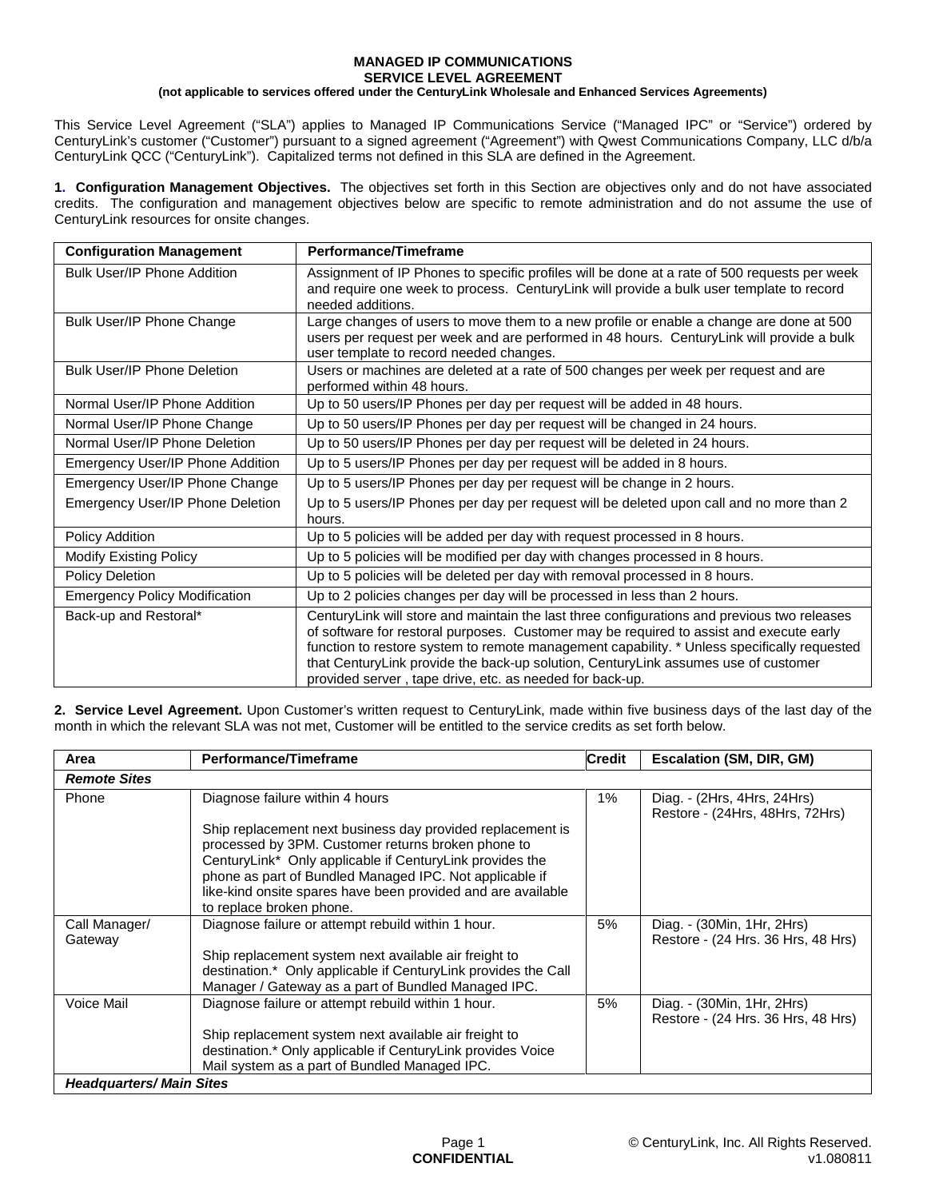### **MANAGED IP COMMUNICATIONS SERVICE LEVEL AGREEMENT**

## **(not applicable to services offered under the CenturyLink Wholesale and Enhanced Services Agreements)**

This Service Level Agreement ("SLA") applies to Managed IP Communications Service ("Managed IPC" or "Service") ordered by CenturyLink's customer ("Customer") pursuant to a signed agreement ("Agreement") with Qwest Communications Company, LLC d/b/a CenturyLink QCC ("CenturyLink"). Capitalized terms not defined in this SLA are defined in the Agreement.

**1. Configuration Management Objectives.** The objectives set forth in this Section are objectives only and do not have associated credits. The configuration and management objectives below are specific to remote administration and do not assume the use of CenturyLink resources for onsite changes.

| <b>Configuration Management</b>      | Performance/Timeframe                                                                                                                                                                                                                                                                                                                                                                                                                   |  |  |  |
|--------------------------------------|-----------------------------------------------------------------------------------------------------------------------------------------------------------------------------------------------------------------------------------------------------------------------------------------------------------------------------------------------------------------------------------------------------------------------------------------|--|--|--|
| <b>Bulk User/IP Phone Addition</b>   | Assignment of IP Phones to specific profiles will be done at a rate of 500 requests per week<br>and require one week to process. CenturyLink will provide a bulk user template to record<br>needed additions.                                                                                                                                                                                                                           |  |  |  |
| Bulk User/IP Phone Change            | Large changes of users to move them to a new profile or enable a change are done at 500<br>users per request per week and are performed in 48 hours. CenturyLink will provide a bulk<br>user template to record needed changes.                                                                                                                                                                                                         |  |  |  |
| <b>Bulk User/IP Phone Deletion</b>   | Users or machines are deleted at a rate of 500 changes per week per request and are<br>performed within 48 hours.                                                                                                                                                                                                                                                                                                                       |  |  |  |
| Normal User/IP Phone Addition        | Up to 50 users/IP Phones per day per request will be added in 48 hours.                                                                                                                                                                                                                                                                                                                                                                 |  |  |  |
| Normal User/IP Phone Change          | Up to 50 users/IP Phones per day per request will be changed in 24 hours.                                                                                                                                                                                                                                                                                                                                                               |  |  |  |
| Normal User/IP Phone Deletion        | Up to 50 users/IP Phones per day per request will be deleted in 24 hours.                                                                                                                                                                                                                                                                                                                                                               |  |  |  |
| Emergency User/IP Phone Addition     | Up to 5 users/IP Phones per day per request will be added in 8 hours.                                                                                                                                                                                                                                                                                                                                                                   |  |  |  |
| Emergency User/IP Phone Change       | Up to 5 users/IP Phones per day per request will be change in 2 hours.                                                                                                                                                                                                                                                                                                                                                                  |  |  |  |
| Emergency User/IP Phone Deletion     | Up to 5 users/IP Phones per day per request will be deleted upon call and no more than 2<br>hours.                                                                                                                                                                                                                                                                                                                                      |  |  |  |
| Policy Addition                      | Up to 5 policies will be added per day with request processed in 8 hours.                                                                                                                                                                                                                                                                                                                                                               |  |  |  |
| <b>Modify Existing Policy</b>        | Up to 5 policies will be modified per day with changes processed in 8 hours.                                                                                                                                                                                                                                                                                                                                                            |  |  |  |
| Policy Deletion                      | Up to 5 policies will be deleted per day with removal processed in 8 hours.                                                                                                                                                                                                                                                                                                                                                             |  |  |  |
| <b>Emergency Policy Modification</b> | Up to 2 policies changes per day will be processed in less than 2 hours.                                                                                                                                                                                                                                                                                                                                                                |  |  |  |
| Back-up and Restoral*                | CenturyLink will store and maintain the last three configurations and previous two releases<br>of software for restoral purposes. Customer may be required to assist and execute early<br>function to restore system to remote management capability. * Unless specifically requested<br>that CenturyLink provide the back-up solution, CenturyLink assumes use of customer<br>provided server, tape drive, etc. as needed for back-up. |  |  |  |

**2. Service Level Agreement.** Upon Customer's written request to CenturyLink, made within five business days of the last day of the month in which the relevant SLA was not met, Customer will be entitled to the service credits as set forth below.

| Area                            | Performance/Timeframe                                                                                                                                                                                                                                                                                                               | <b>Credit</b> | Escalation (SM, DIR, GM)                                         |
|---------------------------------|-------------------------------------------------------------------------------------------------------------------------------------------------------------------------------------------------------------------------------------------------------------------------------------------------------------------------------------|---------------|------------------------------------------------------------------|
| <b>Remote Sites</b>             |                                                                                                                                                                                                                                                                                                                                     |               |                                                                  |
| Phone                           | Diagnose failure within 4 hours                                                                                                                                                                                                                                                                                                     | 1%            | Diag. - (2Hrs, 4Hrs, 24Hrs)<br>Restore - (24Hrs, 48Hrs, 72Hrs)   |
|                                 | Ship replacement next business day provided replacement is<br>processed by 3PM. Customer returns broken phone to<br>CenturyLink* Only applicable if CenturyLink provides the<br>phone as part of Bundled Managed IPC. Not applicable if<br>like-kind onsite spares have been provided and are available<br>to replace broken phone. |               |                                                                  |
| Call Manager/<br>Gateway        | Diagnose failure or attempt rebuild within 1 hour.                                                                                                                                                                                                                                                                                  | 5%            | Diag. - (30Min, 1Hr, 2Hrs)<br>Restore - (24 Hrs. 36 Hrs. 48 Hrs) |
|                                 | Ship replacement system next available air freight to<br>destination.* Only applicable if CenturyLink provides the Call<br>Manager / Gateway as a part of Bundled Managed IPC.                                                                                                                                                      |               |                                                                  |
| Voice Mail                      | Diagnose failure or attempt rebuild within 1 hour.                                                                                                                                                                                                                                                                                  | 5%            | Diag. - (30Min, 1Hr, 2Hrs)<br>Restore - (24 Hrs. 36 Hrs. 48 Hrs) |
|                                 | Ship replacement system next available air freight to<br>destination.* Only applicable if CenturyLink provides Voice                                                                                                                                                                                                                |               |                                                                  |
|                                 | Mail system as a part of Bundled Managed IPC.                                                                                                                                                                                                                                                                                       |               |                                                                  |
| <b>Headquarters/ Main Sites</b> |                                                                                                                                                                                                                                                                                                                                     |               |                                                                  |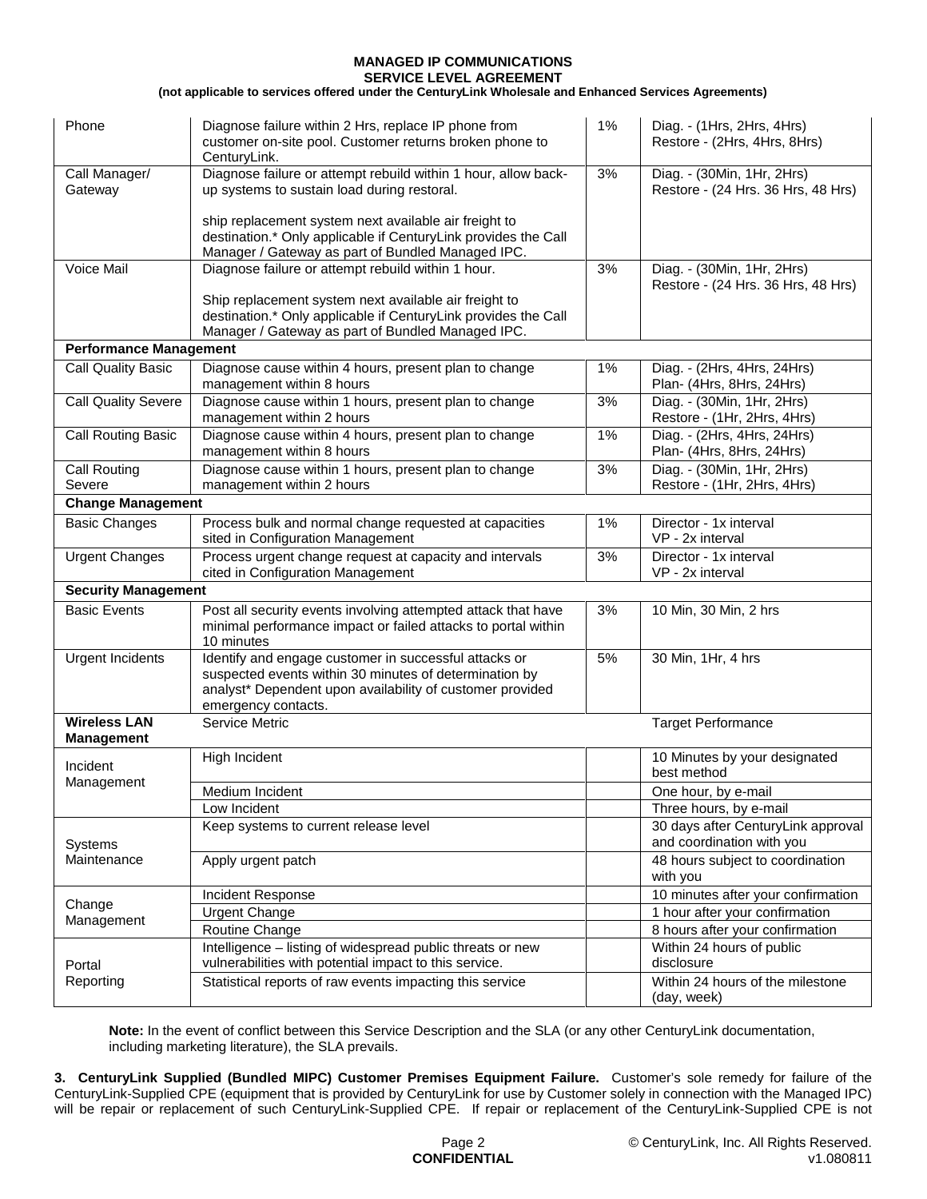# **MANAGED IP COMMUNICATIONS**

**SERVICE LEVEL AGREEMENT (not applicable to services offered under the CenturyLink Wholesale and Enhanced Services Agreements)**

| Phone                                                                                   | Diagnose failure within 2 Hrs, replace IP phone from<br>customer on-site pool. Customer returns broken phone to<br>CenturyLink.                                                                     | 1% | Diag. - (1Hrs, 2Hrs, 4Hrs)<br>Restore - (2Hrs, 4Hrs, 8Hrs)       |  |  |
|-----------------------------------------------------------------------------------------|-----------------------------------------------------------------------------------------------------------------------------------------------------------------------------------------------------|----|------------------------------------------------------------------|--|--|
| Call Manager/<br>Gateway                                                                | Diagnose failure or attempt rebuild within 1 hour, allow back-<br>up systems to sustain load during restoral.                                                                                       | 3% | Diag. - (30Min, 1Hr, 2Hrs)<br>Restore - (24 Hrs. 36 Hrs, 48 Hrs) |  |  |
|                                                                                         | ship replacement system next available air freight to<br>destination.* Only applicable if CenturyLink provides the Call<br>Manager / Gateway as part of Bundled Managed IPC.                        |    |                                                                  |  |  |
| Voice Mail                                                                              | Diagnose failure or attempt rebuild within 1 hour.                                                                                                                                                  | 3% | Diag. - (30Min, 1Hr, 2Hrs)<br>Restore - (24 Hrs. 36 Hrs, 48 Hrs) |  |  |
|                                                                                         | Ship replacement system next available air freight to<br>destination.* Only applicable if CenturyLink provides the Call<br>Manager / Gateway as part of Bundled Managed IPC.                        |    |                                                                  |  |  |
| <b>Performance Management</b>                                                           |                                                                                                                                                                                                     |    |                                                                  |  |  |
| <b>Call Quality Basic</b>                                                               | Diagnose cause within 4 hours, present plan to change                                                                                                                                               | 1% | Diag. - (2Hrs, 4Hrs, 24Hrs)                                      |  |  |
|                                                                                         | management within 8 hours                                                                                                                                                                           |    | Plan- (4Hrs, 8Hrs, 24Hrs)                                        |  |  |
| <b>Call Quality Severe</b>                                                              | Diagnose cause within 1 hours, present plan to change<br>management within 2 hours                                                                                                                  | 3% | Diag. - (30Min, 1Hr, 2Hrs)<br>Restore - (1Hr, 2Hrs, 4Hrs)        |  |  |
| <b>Call Routing Basic</b>                                                               | Diagnose cause within 4 hours, present plan to change<br>management within 8 hours                                                                                                                  | 1% | Diag. - (2Hrs, 4Hrs, 24Hrs)<br>Plan- (4Hrs, 8Hrs, 24Hrs)         |  |  |
| Call Routing<br>Severe                                                                  | Diagnose cause within 1 hours, present plan to change<br>management within 2 hours                                                                                                                  | 3% | Diag. - (30Min, 1Hr, 2Hrs)<br>Restore - (1Hr, 2Hrs, 4Hrs)        |  |  |
| <b>Change Management</b>                                                                |                                                                                                                                                                                                     |    |                                                                  |  |  |
| <b>Basic Changes</b>                                                                    | Process bulk and normal change requested at capacities<br>sited in Configuration Management                                                                                                         | 1% | Director - 1x interval<br>VP - 2x interval                       |  |  |
| <b>Urgent Changes</b>                                                                   | Process urgent change request at capacity and intervals<br>cited in Configuration Management                                                                                                        | 3% | Director - 1x interval<br>VP - 2x interval                       |  |  |
| <b>Security Management</b>                                                              |                                                                                                                                                                                                     |    |                                                                  |  |  |
| <b>Basic Events</b>                                                                     | Post all security events involving attempted attack that have<br>minimal performance impact or failed attacks to portal within<br>10 minutes                                                        | 3% | 10 Min, 30 Min, 2 hrs                                            |  |  |
| <b>Urgent Incidents</b>                                                                 | Identify and engage customer in successful attacks or<br>suspected events within 30 minutes of determination by<br>analyst* Dependent upon availability of customer provided<br>emergency contacts. | 5% | 30 Min, 1Hr, 4 hrs                                               |  |  |
| <b>Wireless LAN</b><br>Service Metric<br><b>Target Performance</b><br><b>Management</b> |                                                                                                                                                                                                     |    |                                                                  |  |  |
| Incident                                                                                | High Incident                                                                                                                                                                                       |    | 10 Minutes by your designated<br>best method                     |  |  |
| Management                                                                              | Medium Incident                                                                                                                                                                                     |    | One hour, by e-mail                                              |  |  |
|                                                                                         | Low Incident                                                                                                                                                                                        |    | Three hours, by e-mail                                           |  |  |
| Systems<br>Maintenance                                                                  | Keep systems to current release level                                                                                                                                                               |    | 30 days after CenturyLink approval<br>and coordination with you  |  |  |
|                                                                                         | Apply urgent patch                                                                                                                                                                                  |    | 48 hours subject to coordination<br>with you                     |  |  |
| Change<br>Management                                                                    | Incident Response                                                                                                                                                                                   |    | 10 minutes after your confirmation                               |  |  |
|                                                                                         | <b>Urgent Change</b>                                                                                                                                                                                |    | 1 hour after your confirmation                                   |  |  |
|                                                                                         | Routine Change                                                                                                                                                                                      |    | 8 hours after your confirmation                                  |  |  |
| Portal<br>Reporting                                                                     | Intelligence - listing of widespread public threats or new<br>vulnerabilities with potential impact to this service.                                                                                |    | Within 24 hours of public<br>disclosure                          |  |  |
|                                                                                         | Statistical reports of raw events impacting this service                                                                                                                                            |    | Within 24 hours of the milestone<br>(day, week)                  |  |  |

**Note:** In the event of conflict between this Service Description and the SLA (or any other CenturyLink documentation, including marketing literature), the SLA prevails.

**3. CenturyLink Supplied (Bundled MIPC) Customer Premises Equipment Failure.** Customer's sole remedy for failure of the CenturyLink-Supplied CPE (equipment that is provided by CenturyLink for use by Customer solely in connection with the Managed IPC) will be repair or replacement of such CenturyLink-Supplied CPE. If repair or replacement of the CenturyLink-Supplied CPE is not